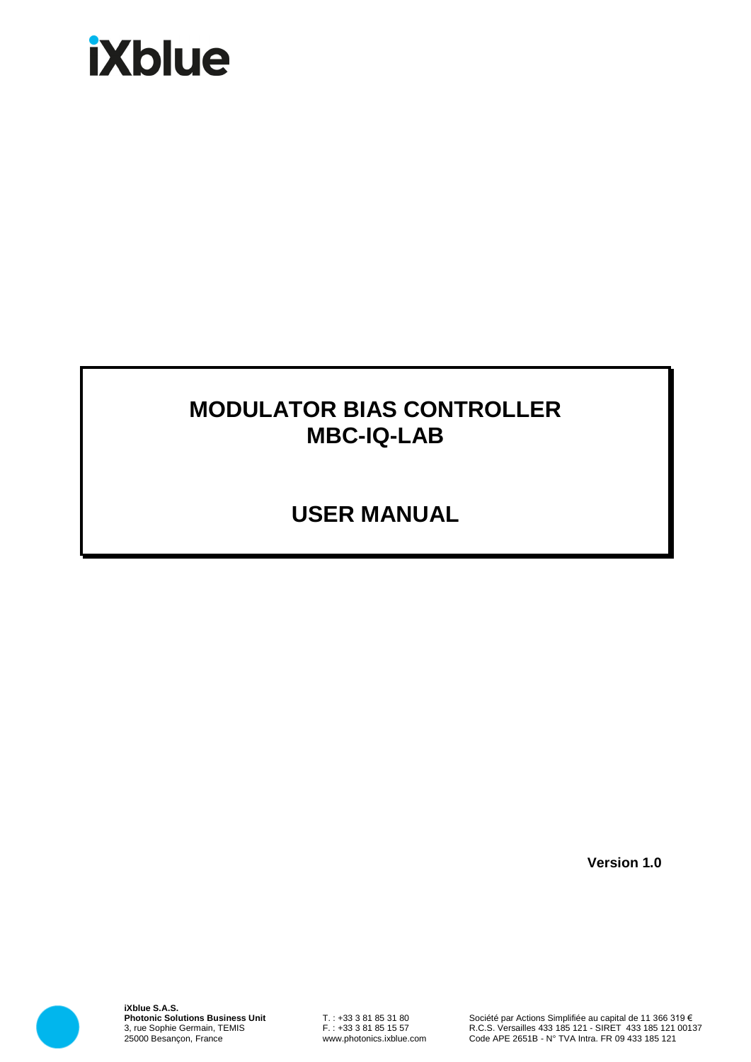# **iXblue**

## **MODULATOR BIAS CONTROLLER MBC-IQ-LAB**

# **USER MANUAL**

**Version 1.0**



**iXblue S.A.S. Photonic Solutions Business Unit** 3, rue Sophie Germain, TEMIS 25000 Besançon, France

T. : +33 3 81 85 31 80 F. : +33 3 81 85 15 57 www.photonics.ixblue.com

Société par Actions Simplifiée au capital de 11 366 319 € R.C.S. Versailles 433 185 121 - SIRET 433 185 121 00137 Code APE 2651B - N° TVA Intra. FR 09 433 185 121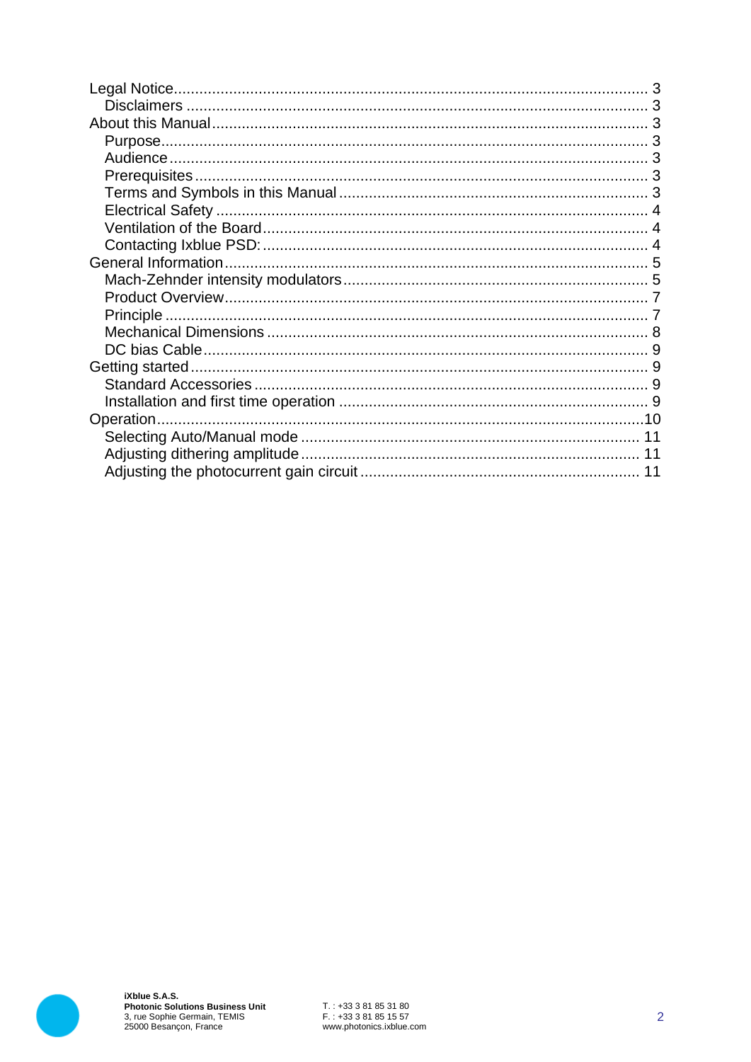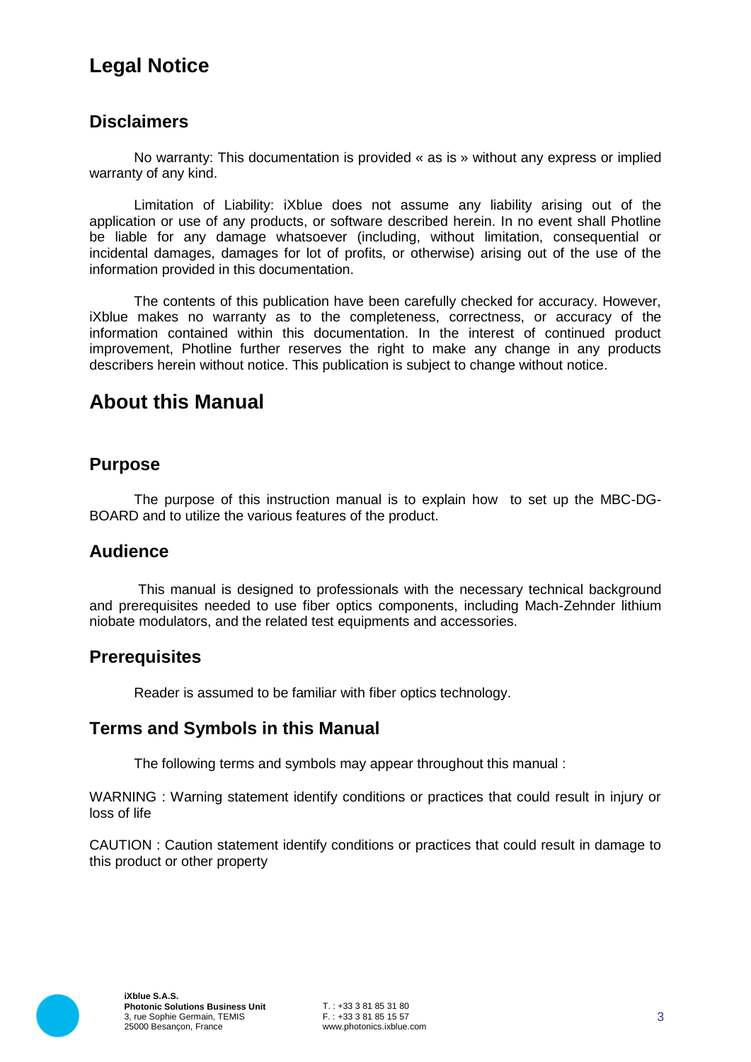## **Legal Notice**

#### **Disclaimers**

No warranty: This documentation is provided « as is » without any express or implied warranty of any kind.

Limitation of Liability: iXblue does not assume any liability arising out of the application or use of any products, or software described herein. In no event shall Photline be liable for any damage whatsoever (including, without limitation, consequential or incidental damages, damages for lot of profits, or otherwise) arising out of the use of the information provided in this documentation.

The contents of this publication have been carefully checked for accuracy. However, iXblue makes no warranty as to the completeness, correctness, or accuracy of the information contained within this documentation. In the interest of continued product improvement, Photline further reserves the right to make any change in any products describers herein without notice. This publication is subject to change without notice.

## **About this Manual**

#### **Purpose**

The purpose of this instruction manual is to explain how to set up the MBC-DG-BOARD and to utilize the various features of the product.

#### **Audience**

This manual is designed to professionals with the necessary technical background and prerequisites needed to use fiber optics components, including Mach-Zehnder lithium niobate modulators, and the related test equipments and accessories.

#### **Prerequisites**

Reader is assumed to be familiar with fiber optics technology.

#### **Terms and Symbols in this Manual**

The following terms and symbols may appear throughout this manual :

WARNING : Warning statement identify conditions or practices that could result in injury or loss of life

CAUTION : Caution statement identify conditions or practices that could result in damage to this product or other property

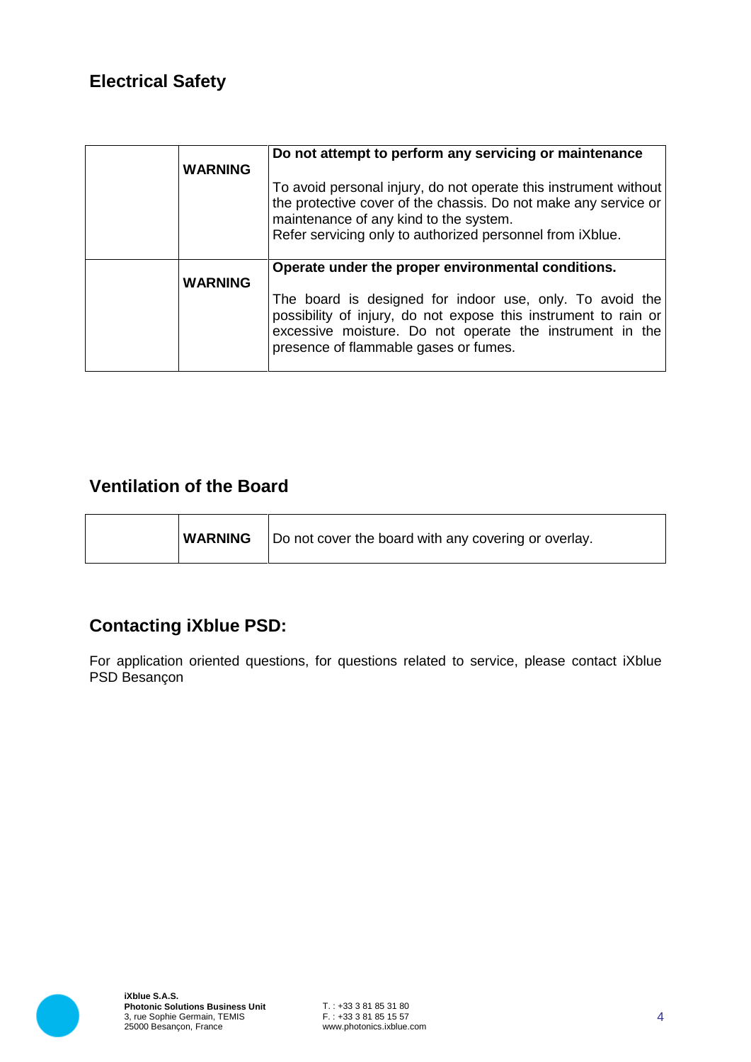## **Electrical Safety**

| <b>WARNING</b> | Do not attempt to perform any servicing or maintenance<br>To avoid personal injury, do not operate this instrument without<br>the protective cover of the chassis. Do not make any service or<br>maintenance of any kind to the system.<br>Refer servicing only to authorized personnel from iXblue. |
|----------------|------------------------------------------------------------------------------------------------------------------------------------------------------------------------------------------------------------------------------------------------------------------------------------------------------|
| <b>WARNING</b> | Operate under the proper environmental conditions.<br>The board is designed for indoor use, only. To avoid the<br>possibility of injury, do not expose this instrument to rain or<br>excessive moisture. Do not operate the instrument in the<br>presence of flammable gases or fumes.               |

### **Ventilation of the Board**

|  | <b>WARNING</b>   Do not cover the board with any covering or overlay. |
|--|-----------------------------------------------------------------------|
|--|-----------------------------------------------------------------------|

## **Contacting iXblue PSD:**

For application oriented questions, for questions related to service, please contact iXblue PSD Besançon

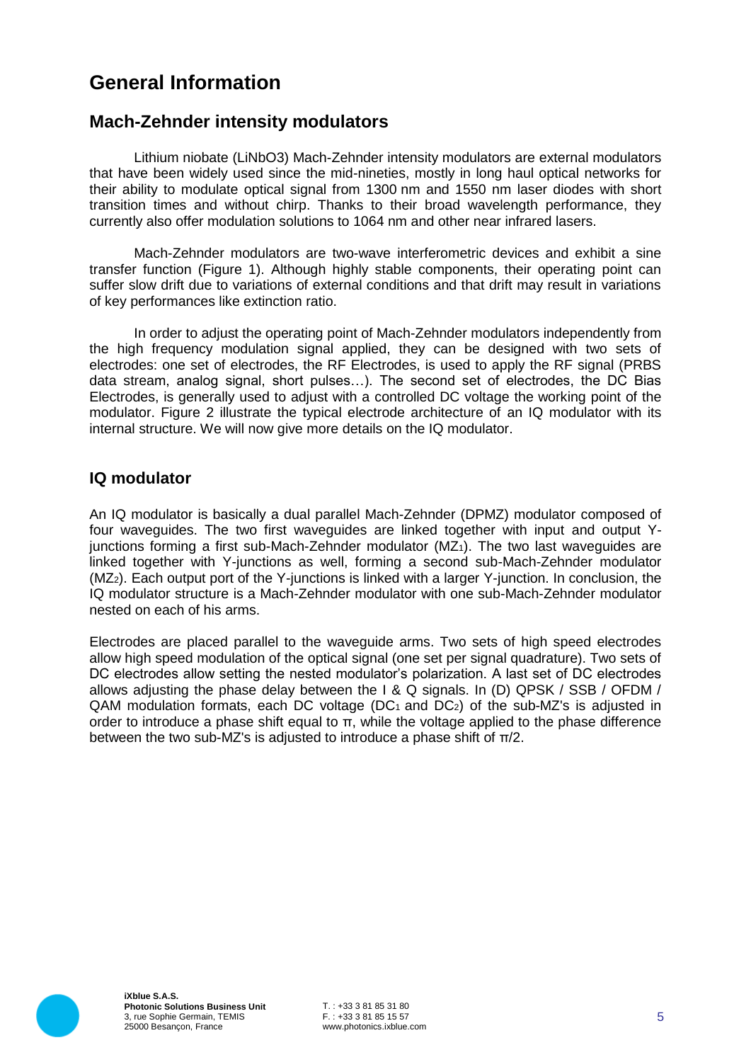## **General Information**

#### **Mach-Zehnder intensity modulators**

Lithium niobate (LiNbO3) Mach-Zehnder intensity modulators are external modulators that have been widely used since the mid-nineties, mostly in long haul optical networks for their ability to modulate optical signal from 1300 nm and 1550 nm laser diodes with short transition times and without chirp. Thanks to their broad wavelength performance, they currently also offer modulation solutions to 1064 nm and other near infrared lasers.

Mach-Zehnder modulators are two-wave interferometric devices and exhibit a sine transfer function (Figure 1). Although highly stable components, their operating point can suffer slow drift due to variations of external conditions and that drift may result in variations of key performances like extinction ratio.

In order to adjust the operating point of Mach-Zehnder modulators independently from the high frequency modulation signal applied, they can be designed with two sets of electrodes: one set of electrodes, the RF Electrodes, is used to apply the RF signal (PRBS data stream, analog signal, short pulses…). The second set of electrodes, the DC Bias Electrodes, is generally used to adjust with a controlled DC voltage the working point of the modulator. Figure 2 illustrate the typical electrode architecture of an IQ modulator with its internal structure. We will now give more details on the IQ modulator.

#### **IQ modulator**

An IQ modulator is basically a dual parallel Mach-Zehnder (DPMZ) modulator composed of four waveguides. The two first waveguides are linked together with input and output Yjunctions forming a first sub-Mach-Zehnder modulator  $(MZ_1)$ . The two last waveguides are linked together with Y-junctions as well, forming a second sub-Mach-Zehnder modulator (MZ2). Each output port of the Y-junctions is linked with a larger Y-junction. In conclusion, the IQ modulator structure is a Mach-Zehnder modulator with one sub-Mach-Zehnder modulator nested on each of his arms.

Electrodes are placed parallel to the waveguide arms. Two sets of high speed electrodes allow high speed modulation of the optical signal (one set per signal quadrature). Two sets of DC electrodes allow setting the nested modulator's polarization. A last set of DC electrodes allows adjusting the phase delay between the I & Q signals. In (D) QPSK / SSB / OFDM /  $QAM$  modulation formats, each DC voltage (DC<sub>1</sub> and DC<sub>2</sub>) of the sub-MZ's is adjusted in order to introduce a phase shift equal to π, while the voltage applied to the phase difference between the two sub-MZ's is adjusted to introduce a phase shift of π/2.

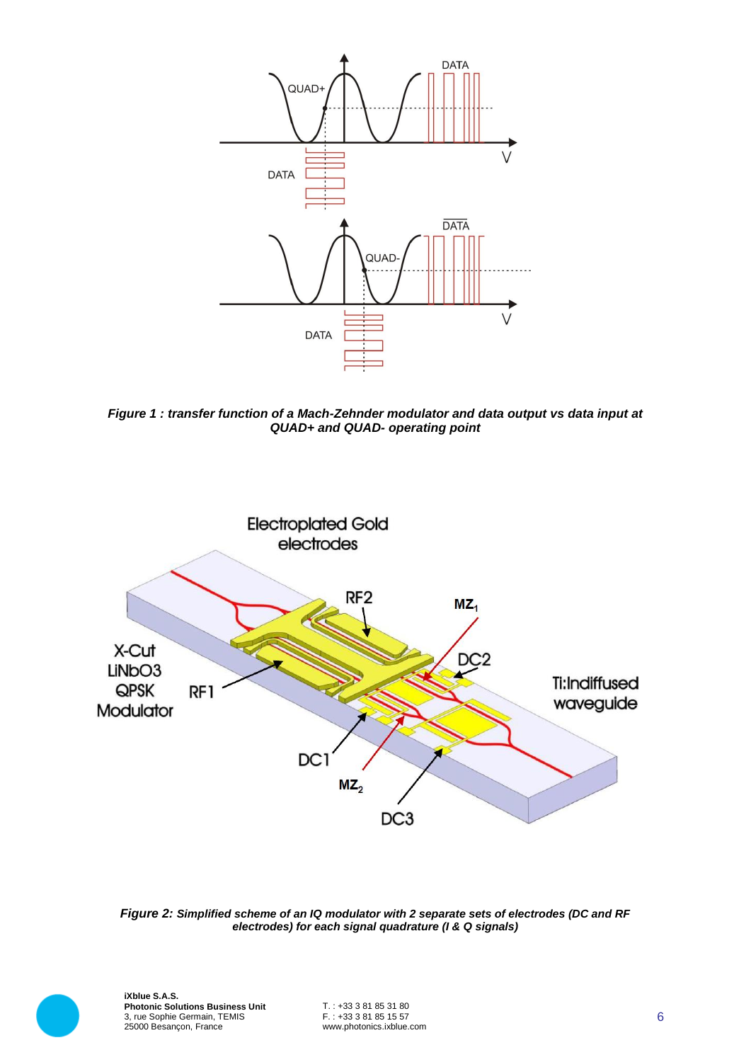

*Figure 1 : transfer function of a Mach-Zehnder modulator and data output vs data input at QUAD+ and QUAD- operating point*



*Figure 2: Simplified scheme of an IQ modulator with 2 separate sets of electrodes (DC and RF electrodes) for each signal quadrature (I & Q signals)*



**iXblue S.A.S. Photonic Solutions Business Unit** 3, rue Sophie Germain, TEMIS 25000 Besançon, France

T. : +33 3 81 85 31 80 F. : +33 3 81 85 15 57 www.photonics.ixblue.com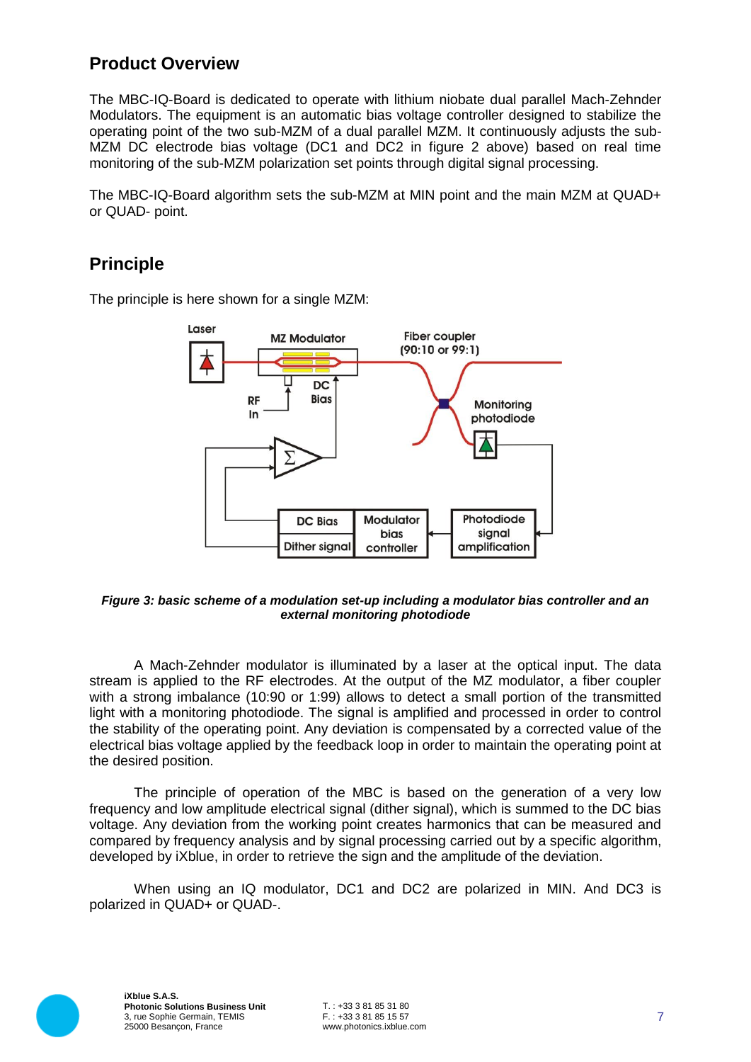#### **Product Overview**

The MBC-IQ-Board is dedicated to operate with lithium niobate dual parallel Mach-Zehnder Modulators. The equipment is an automatic bias voltage controller designed to stabilize the operating point of the two sub-MZM of a dual parallel MZM. It continuously adjusts the sub-MZM DC electrode bias voltage (DC1 and DC2 in figure 2 above) based on real time monitoring of the sub-MZM polarization set points through digital signal processing.

The MBC-IQ-Board algorithm sets the sub-MZM at MIN point and the main MZM at QUAD+ or QUAD- point.

### **Principle**

The principle is here shown for a single MZM:



#### *Figure 3: basic scheme of a modulation set-up including a modulator bias controller and an external monitoring photodiode*

A Mach-Zehnder modulator is illuminated by a laser at the optical input. The data stream is applied to the RF electrodes. At the output of the MZ modulator, a fiber coupler with a strong imbalance (10:90 or 1:99) allows to detect a small portion of the transmitted light with a monitoring photodiode. The signal is amplified and processed in order to control the stability of the operating point. Any deviation is compensated by a corrected value of the electrical bias voltage applied by the feedback loop in order to maintain the operating point at the desired position.

The principle of operation of the MBC is based on the generation of a very low frequency and low amplitude electrical signal (dither signal), which is summed to the DC bias voltage. Any deviation from the working point creates harmonics that can be measured and compared by frequency analysis and by signal processing carried out by a specific algorithm, developed by iXblue, in order to retrieve the sign and the amplitude of the deviation.

When using an IQ modulator, DC1 and DC2 are polarized in MIN. And DC3 is polarized in QUAD+ or QUAD-.

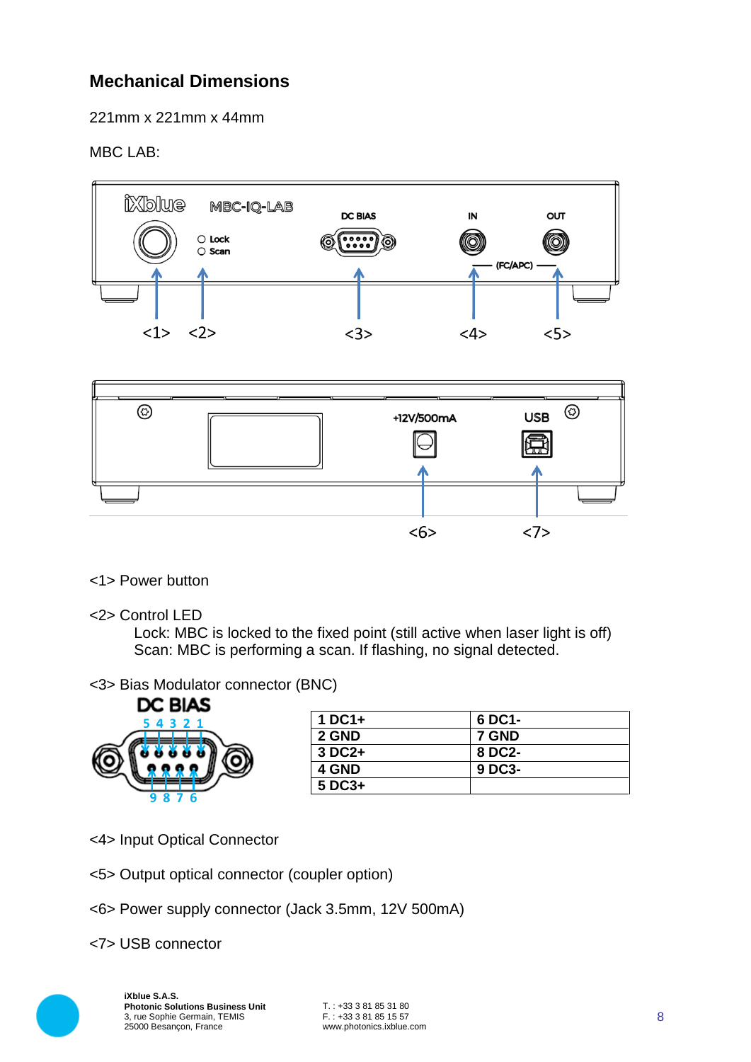## **Mechanical Dimensions**

221mm x 221mm x 44mm

#### MBC LAB:





#### <1> Power button

<2> Control LED

Lock: MBC is locked to the fixed point (still active when laser light is off) Scan: MBC is performing a scan. If flashing, no signal detected.

#### <3> Bias Modulator connector (BNC)



| $1$ DC1+ | 6 DC1- |
|----------|--------|
| 2 GND    | 7 GND  |
| 3 DC2+   | 8 DC2- |
| 4 GND    | 9 DC3- |
| $5$ DC3+ |        |

- <4> Input Optical Connector
- <5> Output optical connector (coupler option)
- <6> Power supply connector (Jack 3.5mm, 12V 500mA)
- <7> USB connector

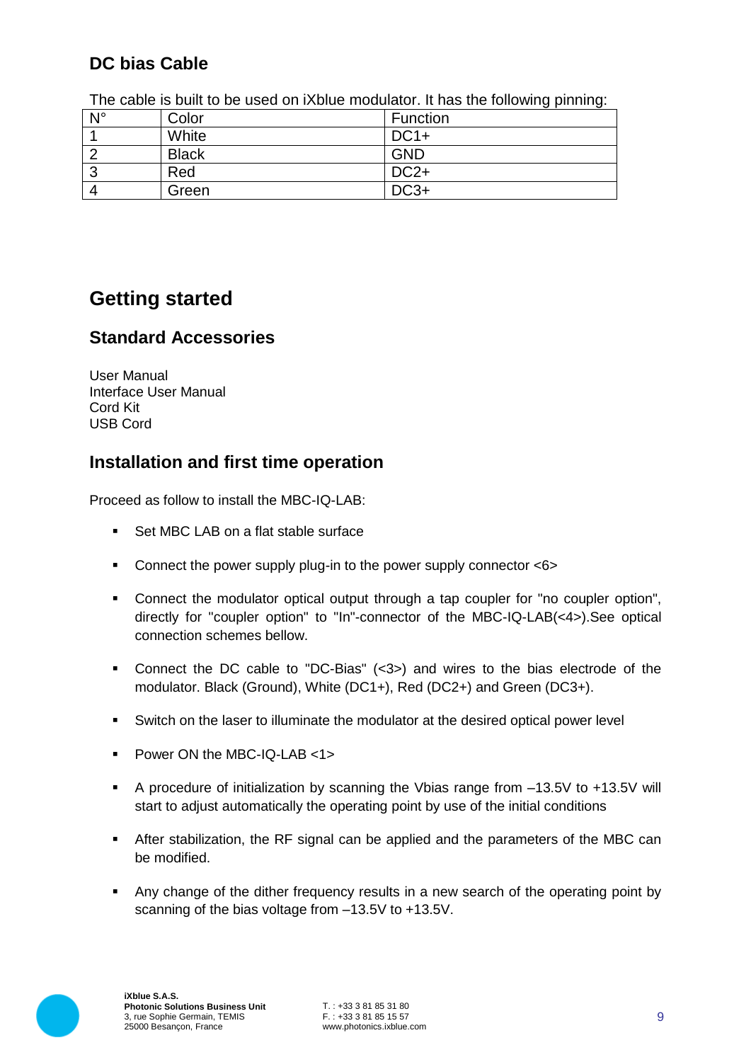## **DC bias Cable**

| $N^{\circ}$ | Color        | Function   |  |  |
|-------------|--------------|------------|--|--|
|             | White        | $DC1+$     |  |  |
| ົ           | <b>Black</b> | <b>GND</b> |  |  |
| ີ           | Red          | $DC2+$     |  |  |
| 4           | Green        | $DC3+$     |  |  |

The cable is built to be used on iXblue modulator. It has the following pinning:

## **Getting started**

#### **Standard Accessories**

User Manual Interface User Manual Cord Kit USB Cord

#### **Installation and first time operation**

Proceed as follow to install the MBC-IQ-LAB:

- Set MBC LAB on a flat stable surface
- Connect the power supply plug-in to the power supply connector <6>
- Connect the modulator optical output through a tap coupler for "no coupler option", directly for "coupler option" to "In"-connector of the MBC-IQ-LAB(<4>).See optical connection schemes bellow.
- Connect the DC cable to "DC-Bias" (<3>) and wires to the bias electrode of the modulator. Black (Ground), White (DC1+), Red (DC2+) and Green (DC3+).
- Switch on the laser to illuminate the modulator at the desired optical power level
- Power ON the MBC-IQ-LAB <1>
- A procedure of initialization by scanning the Vbias range from –13.5V to +13.5V will start to adjust automatically the operating point by use of the initial conditions
- After stabilization, the RF signal can be applied and the parameters of the MBC can be modified.
- Any change of the dither frequency results in a new search of the operating point by scanning of the bias voltage from –13.5V to +13.5V.

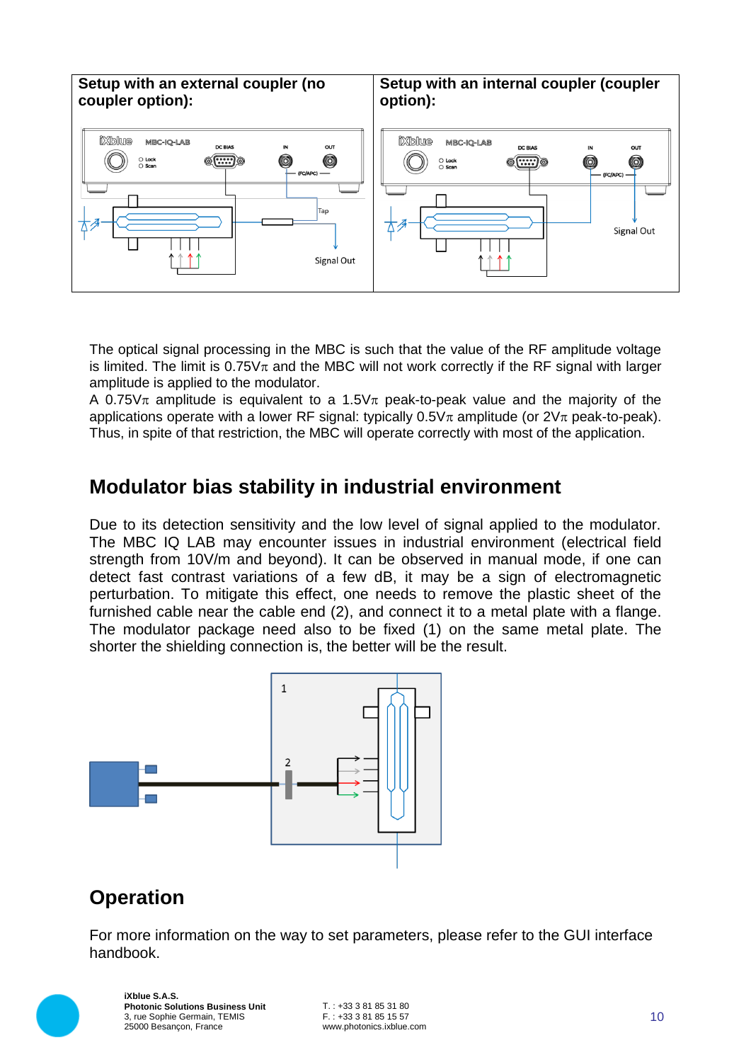

The optical signal processing in the MBC is such that the value of the RF amplitude voltage is limited. The limit is  $0.75V\pi$  and the MBC will not work correctly if the RF signal with larger amplitude is applied to the modulator.

A 0.75 $\sqrt{\pi}$  amplitude is equivalent to a 1.5 $\sqrt{\pi}$  peak-to-peak value and the majority of the applications operate with a lower RF signal: typically  $0.5V_{\pi}$  amplitude (or  $2V_{\pi}$  peak-to-peak). Thus, in spite of that restriction, the MBC will operate correctly with most of the application.

## **Modulator bias stability in industrial environment**

Due to its detection sensitivity and the low level of signal applied to the modulator. The MBC IQ LAB may encounter issues in industrial environment (electrical field strength from 10V/m and beyond). It can be observed in manual mode, if one can detect fast contrast variations of a few dB, it may be a sign of electromagnetic perturbation. To mitigate this effect, one needs to remove the plastic sheet of the furnished cable near the cable end (2), and connect it to a metal plate with a flange. The modulator package need also to be fixed (1) on the same metal plate. The shorter the shielding connection is, the better will be the result.



## **Operation**

For more information on the way to set parameters, please refer to the GUI interface handbook.



**iXblue S.A.S. Photonic Solutions Business Unit** 3, rue Sophie Germain, TEMIS 25000 Besançon, France

 $T$  :  $+33$  3 81 85 31 80 F. : +33 3 81 85 15 57 www.photonics.ixblue.com